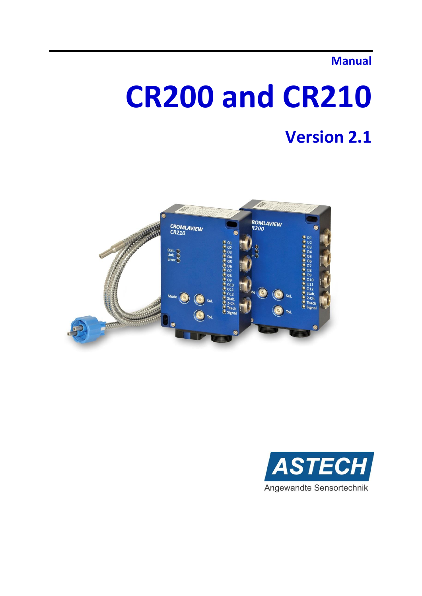# **Manual**

# **CR200 and CR210**

# **Version 2.1**



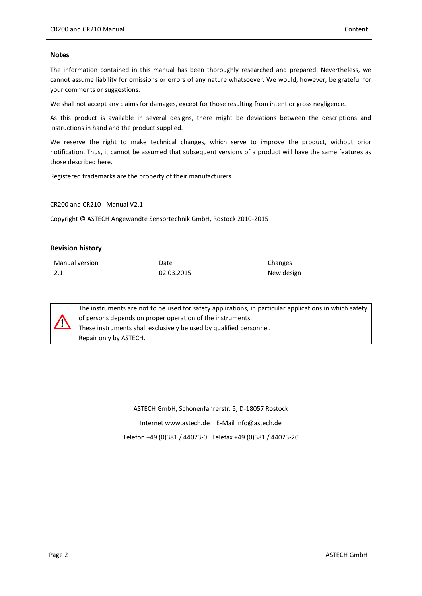### **Notes**

The information contained in this manual has been thoroughly researched and prepared. Nevertheless, we cannot assume liability for omissions or errors of any nature whatsoever. We would, however, be grateful for your comments or suggestions.

We shall not accept any claims for damages, except for those resulting from intent or gross negligence.

As this product is available in several designs, there might be deviations between the descriptions and instructions in hand and the product supplied.

We reserve the right to make technical changes, which serve to improve the product, without prior notification. Thus, it cannot be assumed that subsequent versions of a product will have the same features as those described here.

Registered trademarks are the property of their manufacturers.

CR200 and CR210 - Manual V2.1

Copyright © ASTECH Angewandte Sensortechnik GmbH, Rostock 2010-2015

#### **Revision history**

| Manual version | Date       | Changes    |
|----------------|------------|------------|
| 2.1            | 02.03.2015 | New design |



The instruments are not to be used for safety applications, in particular applications in which safety of persons depends on proper operation of the instruments. These instruments shall exclusively be used by qualified personnel. Repair only by ASTECH.

> ASTECH GmbH, Schonenfahrerstr. 5, D-18057 Rostock Internet www.astech.de E-Mail info@astech.de Telefon +49 (0)381 / 44073-0 Telefax +49 (0)381 / 44073-20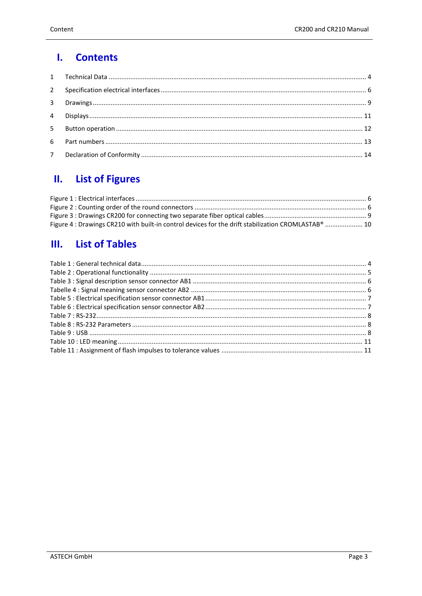#### $\mathbf{I}$ . **Contents**

#### $\mathbf{II}$ . **List of Figures**

| Figure 4 : Drawings CR210 with built-in control devices for the drift stabilization CROMLASTAB®  10 |  |
|-----------------------------------------------------------------------------------------------------|--|

# III. List of Tables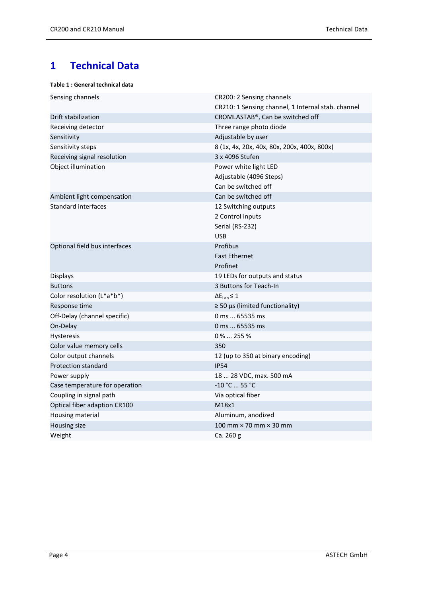# <span id="page-3-0"></span>**1 Technical Data**

## <span id="page-3-1"></span>**Table 1 : General technical data**

| CR200: 2 Sensing channels                          |  |
|----------------------------------------------------|--|
| CR210: 1 Sensing channel, 1 Internal stab. channel |  |
| CROMLASTAB®, Can be switched off                   |  |
| Three range photo diode                            |  |
| Adjustable by user                                 |  |
| 8 (1x, 4x, 20x, 40x, 80x, 200x, 400x, 800x)        |  |
| 3 x 4096 Stufen                                    |  |
| Power white light LED                              |  |
| Adjustable (4096 Steps)                            |  |
| Can be switched off                                |  |
| Can be switched off                                |  |
| 12 Switching outputs                               |  |
| 2 Control inputs                                   |  |
| Serial (RS-232)                                    |  |
| <b>USB</b>                                         |  |
| Profibus                                           |  |
| <b>Fast Ethernet</b>                               |  |
| Profinet                                           |  |
| 19 LEDs for outputs and status                     |  |
| 3 Buttons for Teach-In                             |  |
| $\Delta E_{Lab} \leq 1$                            |  |
| $\geq$ 50 µs (limited functionality)               |  |
| 0 ms  65535 ms                                     |  |
| 0 ms  65535 ms                                     |  |
| $0\%$ 255 %                                        |  |
| 350                                                |  |
| 12 (up to 350 at binary encoding)                  |  |
| <b>IP54</b>                                        |  |
| 18  28 VDC, max. 500 mA                            |  |
| -10 °C  55 °C                                      |  |
| Via optical fiber                                  |  |
| M18x1                                              |  |
| Aluminum, anodized                                 |  |
| 100 mm $\times$ 70 mm $\times$ 30 mm               |  |
| Ca. 260 g                                          |  |
|                                                    |  |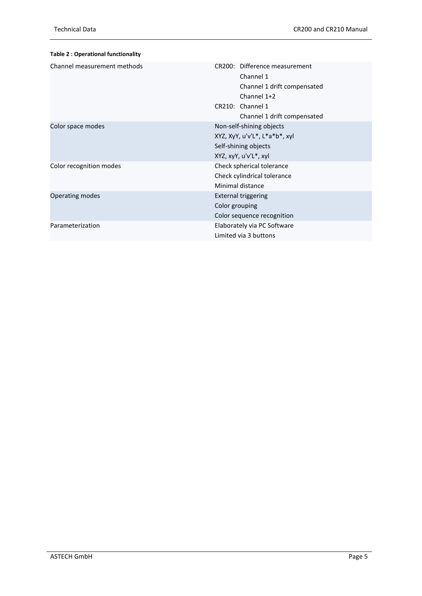<span id="page-4-0"></span>

| <b>Table 2: Operational functionality</b> |                                                                                                                                             |  |
|-------------------------------------------|---------------------------------------------------------------------------------------------------------------------------------------------|--|
| Channel measurement methods               | CR200: Difference measurement<br>Channel 1<br>Channel 1 drift compensated<br>Channel 1+2<br>CR210: Channel 1<br>Channel 1 drift compensated |  |
| Color space modes                         | Non-self-shining objects<br>XYZ, XyY, u'v'L*, L*a*b*, xyl<br>Self-shining objects<br>XYZ, xyY, u'v'L*, xyl                                  |  |
| Color recognition modes                   | Check spherical tolerance<br>Check cylindrical tolerance<br>Minimal distance                                                                |  |
| Operating modes                           | <b>External triggering</b><br>Color grouping<br>Color sequence recognition                                                                  |  |
| Parameterization                          | Elaborately via PC Software<br>Limited via 3 buttons                                                                                        |  |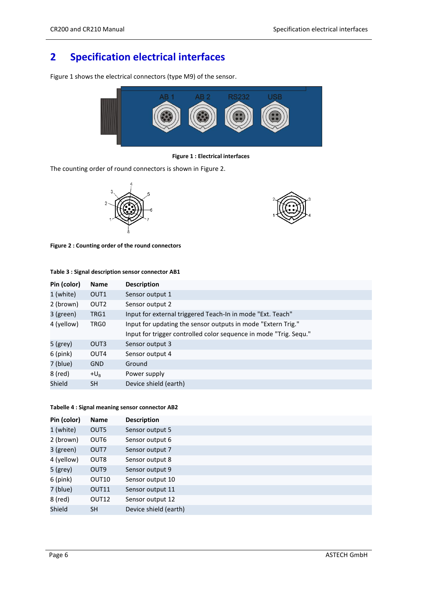# <span id="page-5-0"></span>**2 Specification electrical interfaces**

[Figure 1](#page-5-1) shows the electrical connectors (type M9) of the sensor.



**Figure 1 : Electrical interfaces**

<span id="page-5-1"></span>The counting order of round connectors is shown in [Figure 2.](#page-5-2)





<span id="page-5-2"></span>**Figure 2 : Counting order of the round connectors**

| Pin (color) | <b>Name</b>      | <b>Description</b>                                                |
|-------------|------------------|-------------------------------------------------------------------|
| 1 (white)   | OUT <sub>1</sub> | Sensor output 1                                                   |
| 2 (brown)   | OUT <sub>2</sub> | Sensor output 2                                                   |
| 3 (green)   | TRG1             | Input for external triggered Teach-In in mode "Ext. Teach"        |
| 4 (yellow)  | TRG0             | Input for updating the sensor outputs in mode "Extern Trig."      |
|             |                  | Input for trigger controlled color sequence in mode "Trig. Sequ." |
| $5$ (grey)  | OUT3             | Sensor output 3                                                   |
| $6$ (pink)  | OUT4             | Sensor output 4                                                   |
| 7 (blue)    | <b>GND</b>       | Ground                                                            |
| 8 (red)     | $+U_{\rm R}$     | Power supply                                                      |
| Shield      | <b>SH</b>        | Device shield (earth)                                             |

## <span id="page-5-3"></span>**Table 3 : Signal description sensor connector AB1**

#### <span id="page-5-4"></span>**Tabelle 4 : Signal meaning sensor connector AB2**

| Pin (color) | <b>Name</b>       | <b>Description</b>    |  |
|-------------|-------------------|-----------------------|--|
| 1 (white)   | OUT5              | Sensor output 5       |  |
| 2 (brown)   | OUT <sub>6</sub>  | Sensor output 6       |  |
| 3 (green)   | OUT7              | Sensor output 7       |  |
| 4 (yellow)  | OUT <sub>8</sub>  | Sensor output 8       |  |
| $5$ (grey)  | OUT <sub>9</sub>  | Sensor output 9       |  |
| $6$ (pink)  | OUT10             | Sensor output 10      |  |
| 7 (blue)    | OUT11             | Sensor output 11      |  |
| 8 (red)     | OUT <sub>12</sub> | Sensor output 12      |  |
| Shield      | <b>SH</b>         | Device shield (earth) |  |
|             |                   |                       |  |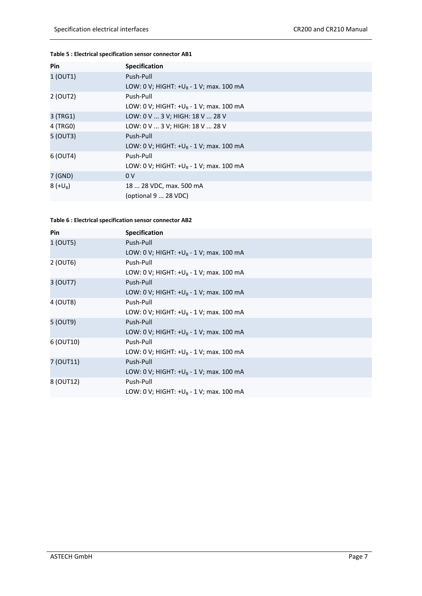## <span id="page-6-0"></span>**Table 5 : Electrical specification sensor connector AB1**

| Pin        | <b>Specification</b>                       |
|------------|--------------------------------------------|
| 1 (OUT1)   | Push-Pull                                  |
|            | LOW: 0 V; HIGHT: $+U_B - 1$ V; max. 100 mA |
| 2 (OUT2)   | Push-Pull                                  |
|            | LOW: 0 V; HIGHT: $+U_B - 1$ V; max. 100 mA |
| 3 (TRG1)   | LOW: 0 V  3 V; HIGH: 18 V  28 V            |
| 4 (TRG0)   | LOW: 0 V  3 V; HIGH: 18 V  28 V            |
| 5 (OUT3)   | Push-Pull                                  |
|            | LOW: 0 V; HIGHT: $+U_B - 1$ V; max. 100 mA |
| 6 (OUT4)   | Push-Pull                                  |
|            | LOW: 0 V; HIGHT: $+U_B - 1$ V; max. 100 mA |
| 7 (GND)    | 0 <sub>V</sub>                             |
| $8 (+U_B)$ | 18  28 VDC, max. 500 mA                    |
|            | (optional 9  28 VDC)                       |

### <span id="page-6-1"></span>**Table 6 : Electrical specification sensor connector AB2**

| <b>Pin</b> | <b>Specification</b>                       |
|------------|--------------------------------------------|
| 1 (OUT5)   | Push-Pull                                  |
|            | LOW: 0 V; HIGHT: $+U_B - 1$ V; max. 100 mA |
| 2 (OUT6)   | Push-Pull                                  |
|            | LOW: 0 V; HIGHT: $+U_B - 1$ V; max. 100 mA |
| 3 (OUT7)   | Push-Pull                                  |
|            | LOW: 0 V; HIGHT: $+U_B - 1$ V; max. 100 mA |
| 4 (OUT8)   | Push-Pull                                  |
|            | LOW: 0 V; HIGHT: $+U_B - 1$ V; max. 100 mA |
| 5 (OUT9)   | Push-Pull                                  |
|            | LOW: 0 V; HIGHT: $+U_B - 1$ V; max. 100 mA |
| 6 (OUT10)  | Push-Pull                                  |
|            | LOW: 0 V; HIGHT: $+U_R - 1$ V; max. 100 mA |
| 7 (OUT11)  | Push-Pull                                  |
|            | LOW: 0 V; HIGHT: $+U_R - 1$ V; max. 100 mA |
| 8 (OUT12)  | Push-Pull                                  |
|            | LOW: 0 V; HIGHT: $+U_B - 1$ V; max. 100 mA |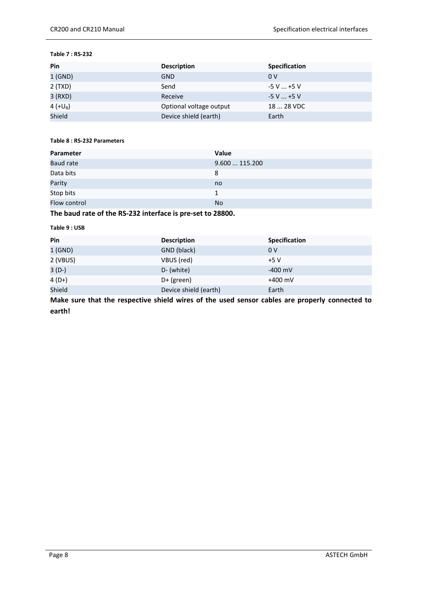#### <span id="page-7-0"></span>**Table 7 : RS-232**

| Pin        | <b>Description</b>      | <b>Specification</b> |
|------------|-------------------------|----------------------|
| $1$ (GND)  | <b>GND</b>              | 0V                   |
| 2(TXD)     | Send                    | $-5$ V $$ +5 V       |
| 3 (RXD)    | Receive                 | $-5$ V $$ +5 V       |
| 4 $(+U_B)$ | Optional voltage output | 18  28 VDC           |
| Shield     | Device shield (earth)   | Earth                |

## <span id="page-7-1"></span>**Table 8 : RS-232 Parameters**

| Parameter        | Value        |
|------------------|--------------|
| <b>Baud rate</b> | 9.600115.200 |
| Data bits        | 8            |
| Parity           | no           |
| Stop bits        | 1            |
| Flow control     | <b>No</b>    |
|                  |              |

## **The baud rate of the RS-232 interface is pre-set to 28800.**

#### <span id="page-7-2"></span>**Table 9 : USB**

| Pin      | <b>Description</b>    | <b>Specification</b> |
|----------|-----------------------|----------------------|
| 1(GND)   | GND (black)           | 0 <sup>V</sup>       |
| 2 (VBUS) | VBUS (red)            | $+5V$                |
| $3(D-)$  | D- (white)            | $-400$ mV            |
| $4(D+)$  | $D+$ (green)          | $+400$ mV            |
| Shield   | Device shield (earth) | Earth                |

**Make sure that the respective shield wires of the used sensor cables are properly connected to earth!**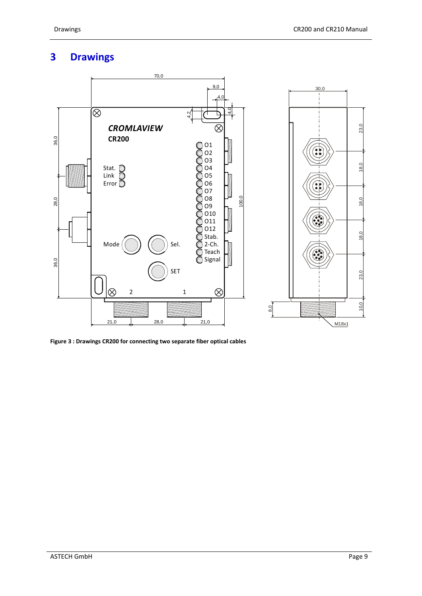# <span id="page-8-0"></span>**3 Drawings**



<span id="page-8-1"></span>**Figure 3 : Drawings CR200 for connecting two separate fiber optical cables**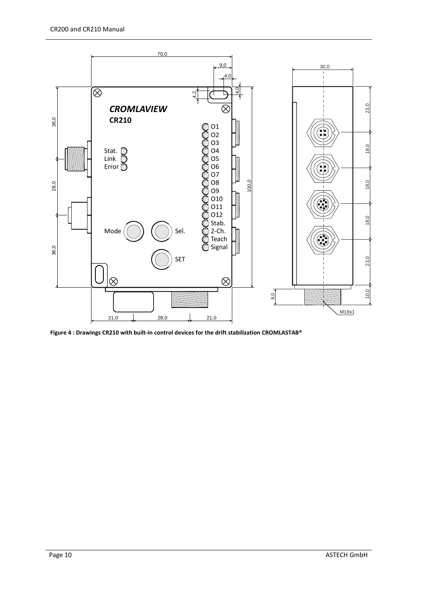

<span id="page-9-0"></span>**Figure 4 : Drawings CR210 with built-in control devices for the drift stabilization CROMLASTAB®**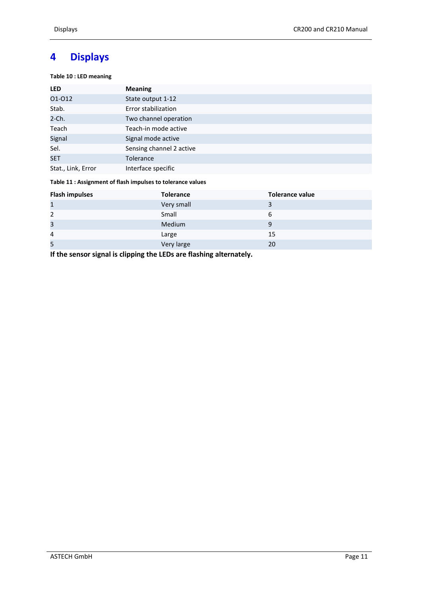# <span id="page-10-0"></span>**4 Displays**

<span id="page-10-1"></span>**Table 10 : LED meaning**

| <b>LED</b>         | <b>Meaning</b>           |
|--------------------|--------------------------|
| 01-012             | State output 1-12        |
| Stab.              | Error stabilization      |
| $2$ -Ch.           | Two channel operation    |
| Teach              | Teach-in mode active     |
| Signal             | Signal mode active       |
| Sel.               | Sensing channel 2 active |
| <b>SET</b>         | <b>Tolerance</b>         |
| Stat., Link, Error | Interface specific       |

## <span id="page-10-2"></span>**Table 11 : Assignment of flash impulses to tolerance values**

| <b>Flash impulses</b> | <b>Tolerance</b> | <b>Tolerance value</b> |
|-----------------------|------------------|------------------------|
| $\mathbf{1}$          | Very small       |                        |
| $\overline{2}$        | Small            | 6                      |
| 3                     | Medium           | 9                      |
| 4                     | Large            | 15                     |
| 5                     | Very large       | 20                     |

**If the sensor signal is clipping the LEDs are flashing alternately.**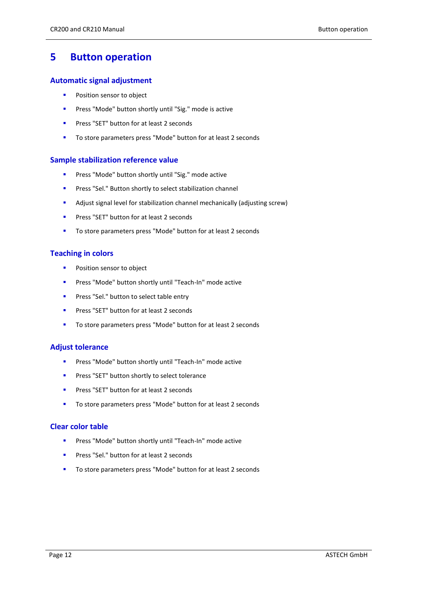## <span id="page-11-0"></span>**5 Button operation**

## **Automatic signal adjustment**

- **Position sensor to object**
- **Press "Mode" button shortly until "Sig." mode is active**
- **Press "SET" button for at least 2 seconds**
- To store parameters press "Mode" button for at least 2 seconds

## **Sample stabilization reference value**

- **Press "Mode" button shortly until "Sig." mode active**
- **Press "Sel." Button shortly to select stabilization channel**
- Adjust signal level for stabilization channel mechanically (adjusting screw)
- **Press "SET" button for at least 2 seconds**
- To store parameters press "Mode" button for at least 2 seconds

## **Teaching in colors**

- **Position sensor to object**
- **Press "Mode" button shortly until "Teach-In" mode active**
- **Press "Sel." button to select table entry**
- **Press "SET" button for at least 2 seconds**
- To store parameters press "Mode" button for at least 2 seconds

## **Adjust tolerance**

- **Press "Mode" button shortly until "Teach-In" mode active**
- **Press "SET" button shortly to select tolerance**
- **Press "SET" button for at least 2 seconds**
- To store parameters press "Mode" button for at least 2 seconds

## **Clear color table**

- **Press "Mode" button shortly until "Teach-In" mode active**
- **Press "Sel." button for at least 2 seconds**
- To store parameters press "Mode" button for at least 2 seconds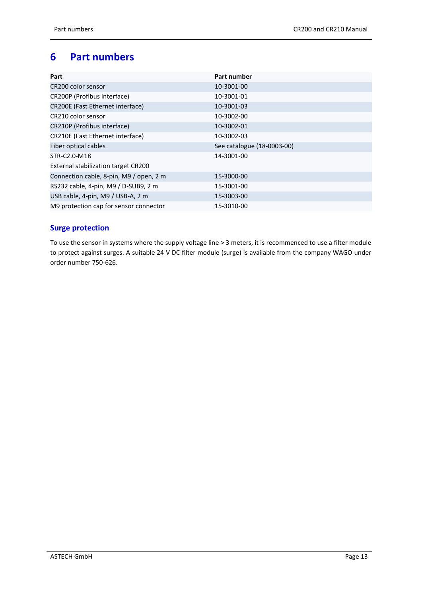# <span id="page-12-0"></span>**6 Part numbers**

| Part                                    | Part number                |
|-----------------------------------------|----------------------------|
| CR200 color sensor                      | 10-3001-00                 |
| CR200P (Profibus interface)             | 10-3001-01                 |
| CR200E (Fast Ethernet interface)        | 10-3001-03                 |
| CR210 color sensor                      | 10-3002-00                 |
| CR210P (Profibus interface)             | 10-3002-01                 |
| CR210E (Fast Ethernet interface)        | 10-3002-03                 |
| Fiber optical cables                    | See catalogue (18-0003-00) |
| STR-C2.0-M18                            | 14-3001-00                 |
| External stabilization target CR200     |                            |
| Connection cable, 8-pin, M9 / open, 2 m | 15-3000-00                 |
| RS232 cable, 4-pin, M9 / D-SUB9, 2 m    | 15-3001-00                 |
| USB cable, 4-pin, M9 / USB-A, 2 m       | 15-3003-00                 |
| M9 protection cap for sensor connector  | 15-3010-00                 |

## **Surge protection**

To use the sensor in systems where the supply voltage line > 3 meters, it is recommenced to use a filter module to protect against surges. A suitable 24 V DC filter module (surge) is available from the company WAGO under order number 750-626.